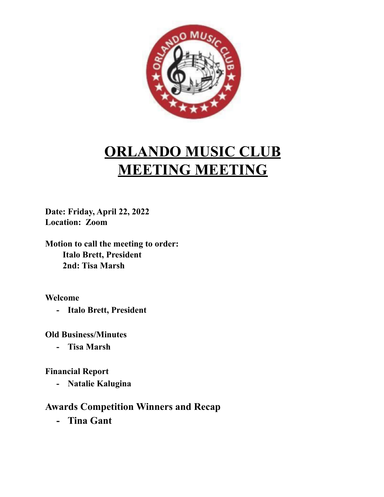

## **ORLANDO MUSIC CLUB MEETING MEETING**

**Date: Friday, April 22, 2022 Location: Zoom**

**Motion to call the meeting to order: Italo Brett, President 2nd: Tisa Marsh**

**Welcome**

**- Italo Brett, President**

**Old Business/Minutes**

**- Tisa Marsh**

**Financial Report**

**- Natalie Kalugina**

## **Awards Competition Winners and Recap**

**- Tina Gant**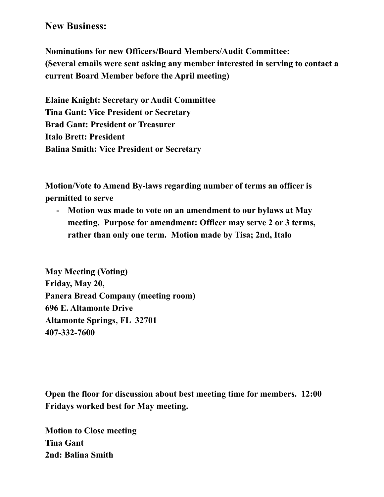## **New Business:**

**Nominations for new Officers/Board Members/Audit Committee: (Several emails were sent asking any member interested in serving to contact a current Board Member before the April meeting)**

**Elaine Knight: Secretary or Audit Committee Tina Gant: Vice President or Secretary Brad Gant: President or Treasurer Italo Brett: President Balina Smith: Vice President or Secretary**

**Motion/Vote to Amend By-laws regarding number of terms an officer is permitted to serve**

**- Motion was made to vote on an amendment to our bylaws at May meeting. Purpose for amendment: Officer may serve 2 or 3 terms, rather than only one term. Motion made by Tisa; 2nd, Italo**

**May Meeting (Voting) Friday, May 20, Panera Bread Company (meeting room) 696 E. Altamonte Drive Altamonte Springs, FL 32701 407-332-7600**

**Open the floor for discussion about best meeting time for members. 12:00 Fridays worked best for May meeting.**

**Motion to Close meeting Tina Gant 2nd: Balina Smith**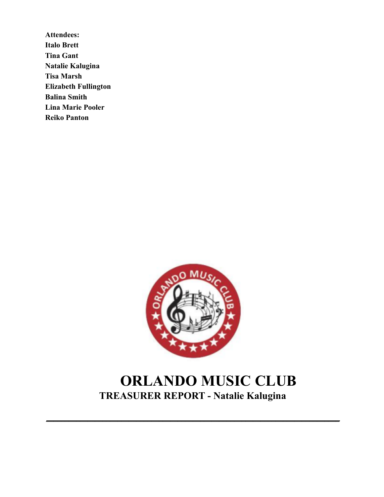**Attendees: Italo Brett Tina Gant Natalie Kalugina Tisa Marsh Elizabeth Fullington Balina Smith Lina Marie Pooler Reiko Panton**



## **ORLANDO MUSIC CLUB TREASURER REPORT - Natalie Kalugina**

**\_\_\_\_\_\_\_\_\_\_\_\_\_\_\_\_\_\_\_\_\_\_\_\_\_\_\_\_\_\_\_\_\_\_\_\_\_\_\_\_\_\_\_\_\_\_\_\_\_\_\_\_\_\_\_\_\_\_\_\_\_\_\_\_\_\_\_\_\_\_\_\_\_\_\_\_\_\_**